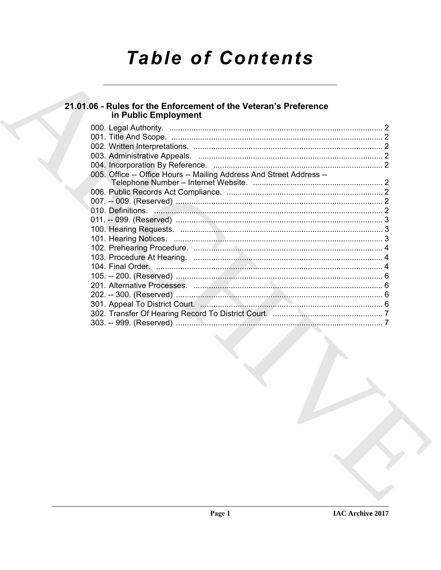# **Table of Contents**

# 21.01.06 - Rules for the Enforcement of the Veteran's Preference<br>in Public Employment

| 005. Office -- Office Hours -- Mailing Address And Street Address --                                                                                                                                                          |  |
|-------------------------------------------------------------------------------------------------------------------------------------------------------------------------------------------------------------------------------|--|
|                                                                                                                                                                                                                               |  |
|                                                                                                                                                                                                                               |  |
|                                                                                                                                                                                                                               |  |
| 010. Definitions. 2008. 2009. 2010. 2010. 2010. 2010. 2010. 2010. 2010. 2010. 2010. 2010. 2010. 2010. 2010. 2010. 2010. 2010. 2010. 2010. 2010. 2010. 2010. 2010. 2010. 2010. 2010. 2010. 2010. 2010. 2010. 2010. 2010. 2010. |  |
|                                                                                                                                                                                                                               |  |
|                                                                                                                                                                                                                               |  |
|                                                                                                                                                                                                                               |  |
|                                                                                                                                                                                                                               |  |
|                                                                                                                                                                                                                               |  |
|                                                                                                                                                                                                                               |  |
|                                                                                                                                                                                                                               |  |
|                                                                                                                                                                                                                               |  |
|                                                                                                                                                                                                                               |  |
|                                                                                                                                                                                                                               |  |
|                                                                                                                                                                                                                               |  |
|                                                                                                                                                                                                                               |  |
|                                                                                                                                                                                                                               |  |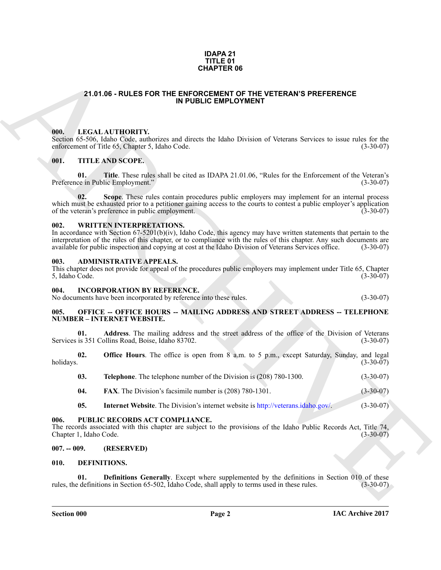### **IDAPA 21 TITLE 01 CHAPTER 06**

# <span id="page-1-0"></span>**21.01.06 - RULES FOR THE ENFORCEMENT OF THE VETERAN'S PREFERENCE IN PUBLIC EMPLOYMENT**

# <span id="page-1-1"></span>**000. LEGAL AUTHORITY.**

## <span id="page-1-2"></span>**001. TITLE AND SCOPE.**

# <span id="page-1-3"></span>**002. WRITTEN INTERPRETATIONS.**

### <span id="page-1-4"></span>**003. ADMINISTRATIVE APPEALS.**

## <span id="page-1-5"></span>**004. INCORPORATION BY REFERENCE.**

### <span id="page-1-6"></span>**005. OFFICE -- OFFICE HOURS -- MAILING ADDRESS AND STREET ADDRESS -- TELEPHONE NUMBER – INTERNET WEBSITE.**

| <b>CHAPTER 06</b> |                                                                                                                                                                               |                                                                                                                                                                                                                                                                                                                                                                                  |                 |  |
|-------------------|-------------------------------------------------------------------------------------------------------------------------------------------------------------------------------|----------------------------------------------------------------------------------------------------------------------------------------------------------------------------------------------------------------------------------------------------------------------------------------------------------------------------------------------------------------------------------|-----------------|--|
|                   |                                                                                                                                                                               | 21.01.06 - RULES FOR THE ENFORCEMENT OF THE VETERAN'S PREFERENCE<br>IN PUBLIC EMPLOYMENT                                                                                                                                                                                                                                                                                         |                 |  |
|                   |                                                                                                                                                                               |                                                                                                                                                                                                                                                                                                                                                                                  |                 |  |
| 000.              |                                                                                                                                                                               | LEGAL AUTHORITY.<br>Section 65-506, Idaho Code, authorizes and directs the Idaho Division of Veterans Services to issue rules for the<br>enforcement of Title 65, Chapter 5, Idaho Code.                                                                                                                                                                                         | $(3-30-07)$     |  |
| 001.              |                                                                                                                                                                               | <b>TITLE AND SCOPE.</b>                                                                                                                                                                                                                                                                                                                                                          |                 |  |
|                   | 01.                                                                                                                                                                           | Title. These rules shall be cited as IDAPA 21.01.06, "Rules for the Enforcement of the Veteran's<br>Preference in Public Employment."                                                                                                                                                                                                                                            | $(3-30-07)$     |  |
|                   | 02.                                                                                                                                                                           | Scope. These rules contain procedures public employers may implement for an internal process<br>which must be exhausted prior to a petitioner gaining access to the courts to contest a public employer's application<br>of the veteran's preference in public employment.                                                                                                       | $(3-30-07)$     |  |
| 002.              |                                                                                                                                                                               | WRITTEN INTERPRETATIONS.<br>In accordance with Section 67-5201(b)(iv), Idaho Code, this agency may have written statements that pertain to the<br>interpretation of the rules of this chapter, or to compliance with the rules of this chapter. Any such documents are available for public inspection and copying at cost at the Idaho Division of Veterans Services office. (3 |                 |  |
| 003.              | 5, Idaho Code.                                                                                                                                                                | <b>ADMINISTRATIVE APPEALS.</b><br>This chapter does not provide for appeal of the procedures public employers may implement under Title 65, Chapter                                                                                                                                                                                                                              | $(3-30-07)$     |  |
| 004.              |                                                                                                                                                                               | <b>INCORPORATION BY REFERENCE.</b><br>No documents have been incorporated by reference into these rules.                                                                                                                                                                                                                                                                         | $(3-30-07)$     |  |
| 005.              |                                                                                                                                                                               | <b>OFFICE -- OFFICE HOURS -- MAILING ADDRESS AND STREET ADDRESS -- TELEPHONE</b><br><b>NUMBER - INTERNET WEBSITE.</b>                                                                                                                                                                                                                                                            |                 |  |
|                   | 01.                                                                                                                                                                           | Address. The mailing address and the street address of the office of the Division of Veterans<br>Services is 351 Collins Road, Boise, Idaho 83702.                                                                                                                                                                                                                               | $(3-30-07)$     |  |
| holidays.         | 02.                                                                                                                                                                           | <b>Office Hours</b> . The office is open from 8 a.m. to 5 p.m., except Saturday, Sunday, and legal                                                                                                                                                                                                                                                                               | $(3-30-07)$     |  |
|                   | 03.                                                                                                                                                                           | <b>Telephone</b> . The telephone number of the Division is (208) 780-1300.                                                                                                                                                                                                                                                                                                       | $(3-30-07)$     |  |
|                   | 04.                                                                                                                                                                           | <b>FAX</b> . The Division's facsimile number is (208) 780-1301.                                                                                                                                                                                                                                                                                                                  | $(3 - 30 - 07)$ |  |
|                   | 05.                                                                                                                                                                           | <b>Internet Website.</b> The Division's internet website is http://veterans.idaho.gov/.                                                                                                                                                                                                                                                                                          | $(3-30-07)$     |  |
| 006.              | PUBLIC RECORDS ACT COMPLIANCE.<br>The records associated with this chapter are subject to the provisions of the Idaho Public Records Act, Title 74,<br>Chapter 1, Idaho Code. |                                                                                                                                                                                                                                                                                                                                                                                  | $(3-30-07)$     |  |
| $007. - 009.$     |                                                                                                                                                                               | (RESERVED)                                                                                                                                                                                                                                                                                                                                                                       |                 |  |
| 010.              |                                                                                                                                                                               | DEFINITIONS.                                                                                                                                                                                                                                                                                                                                                                     |                 |  |
|                   | 01.                                                                                                                                                                           | <b>Definitions Generally.</b> Except where supplemented by the definitions in Section $010$ of these<br>rules, the definitions in Section 65-502, Idaho Code, shall apply to terms used in these rules.                                                                                                                                                                          | $(3-30-07)$     |  |

- **04. FAX**. The Division's facsimile number is (208) 780-1301. (3-30-07)
- **05.** Internet Website. The Division's internet website is http://veterans.idaho.gov/. (3-30-07)

## <span id="page-1-7"></span>**006. PUBLIC RECORDS ACT COMPLIANCE.**

# <span id="page-1-8"></span>**007. -- 009. (RESERVED)**

## <span id="page-1-11"></span><span id="page-1-10"></span><span id="page-1-9"></span>**010. DEFINITIONS.**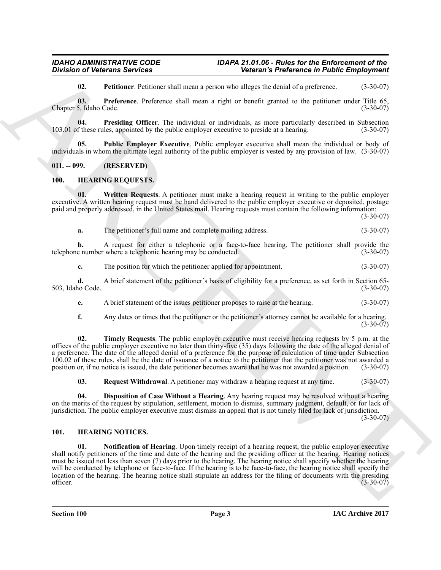<span id="page-2-5"></span><span id="page-2-4"></span><span id="page-2-3"></span>**02. Petitioner**. Petitioner shall mean a person who alleges the denial of a preference. (3-30-07)

**03. Preference**. Preference shall mean a right or benefit granted to the petitioner under Title 65, Idaho Code. (3-30-07) Chapter 5, Idaho Code.

**04. Presiding Officer**. The individual or individuals, as more particularly described in Subsection f these rules, appointed by the public employer executive to preside at a hearing. (3-30-07) 103.01 of these rules, appointed by the public employer executive to preside at a hearing.

<span id="page-2-6"></span>**05. Public Employer Executive**. Public employer executive shall mean the individual or body of individuals in whom the ultimate legal authority of the public employer is vested by any provision of law. (3-30-07)

<span id="page-2-0"></span>**011. -- 099. (RESERVED)**

# <span id="page-2-9"></span><span id="page-2-1"></span>**100. HEARING REQUESTS.**

**01. Written Requests**. A petitioner must make a hearing request in writing to the public employer executive. A written hearing request must be hand delivered to the public employer executive or deposited, postage paid and properly addressed, in the United States mail. Hearing requests must contain the following information:

 $(3-30-07)$ 

<span id="page-2-13"></span>

| а. | The petitioner's full name and complete mailing address. | $(3-30-07)$ |
|----|----------------------------------------------------------|-------------|
|----|----------------------------------------------------------|-------------|

**b.** A request for either a telephonic or a face-to-face hearing. The petitioner shall provide the e number where a telephonic hearing may be conducted. (3-30-07) telephone number where a telephonic hearing may be conducted.

**c.** The position for which the petitioner applied for appointment. (3-30-07)

**d.** A brief statement of the petitioner's basis of eligibility for a preference, as set forth in Section 65-<br>(3-30-07) 503, Idaho Code.

**e.** A brief statement of the issues petitioner proposes to raise at the hearing. (3-30-07)

<span id="page-2-12"></span>**f.** Any dates or times that the petitioner or the petitioner's attorney cannot be available for a hearing.  $(3-30-07)$ 

**02. Timely Requests**. The public employer executive must receive hearing requests by 5 p.m. at the offices of the public employer executive no later than thirty-five (35) days following the date of the alleged denial of a preference. The date of the alleged denial of a preference for the purpose of calculation of time under Subsection  $100.02$  of these rules, shall be the date of issuance of a notice to the petitioner that the petitioner was not awarded a position or, if no notice is issued, the date petitioner becomes aware that he was not awarded a p position or, if no notice is issued, the date petitioner becomes aware that he was not awarded a position.

<span id="page-2-11"></span><span id="page-2-10"></span>**03. Request Withdrawal**. A petitioner may withdraw a hearing request at any time. (3-30-07)

**04. Disposition of Case Without a Hearing**. Any hearing request may be resolved without a hearing on the merits of the request by stipulation, settlement, motion to dismiss, summary judgment, default, or for lack of jurisdiction. The public employer executive must dismiss an appeal that is not timely filed for lack of jurisdiction.

(3-30-07)

# <span id="page-2-8"></span><span id="page-2-7"></span><span id="page-2-2"></span>**101. HEARING NOTICES.**

Division of Velocuran Services<br>
Universe the control of the state of the state of the state of the state of the state of the state of the state<br>
(a) Figure 1.1 The state of the state of the state of the state of the state **01. Notification of Hearing**. Upon timely receipt of a hearing request, the public employer executive shall notify petitioners of the time and date of the hearing and the presiding officer at the hearing. Hearing notices must be issued not less than seven (7) days prior to the hearing. The hearing notice shall specify whether the hearing will be conducted by telephone or face-to-face. If the hearing is to be face-to-face, the hearing notice shall specify the location of the hearing. The hearing notice shall stipulate an address for the filing of documents with the presiding officer.<br>(3-30-07)  $\text{officer.}}\tag{3-30-07}$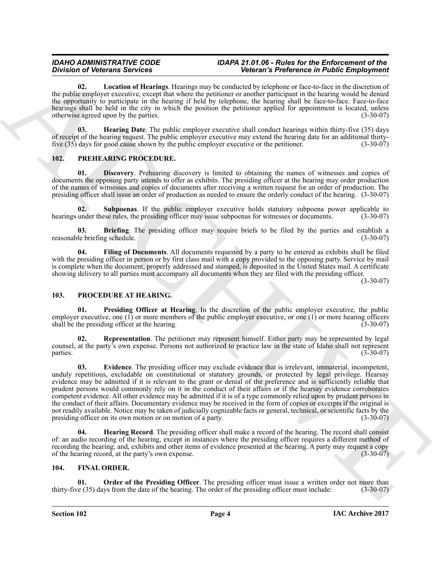# *IDAHO ADMINISTRATIVE CODE IDAPA 21.01.06 - Rules for the Enforcement of the Division of Veterans Services Veteran's Preference in Public Employment*

<span id="page-3-6"></span>**02. Location of Hearings**. Hearings may be conducted by telephone or face-to-face in the discretion of the public employer executive, except that where the petitioner or another participant in the hearing would be denied the opportunity to participate in the hearing if held by telephone, the hearing shall be face-to-face. Face-to-face hearings shall be held in the city in which the position the petitioner applied for appointment is located, unless otherwise agreed upon by the parties. (3-30-07)

<span id="page-3-5"></span>**03. Hearing Date**. The public employer executive shall conduct hearings within thirty-five (35) days of receipt of the hearing request. The public employer executive may extend the hearing date for an additional thirty-<br>five (35) days for good cause shown by the public employer executive or the petitioner. (3-30-07) five  $(35)$  days for good cause shown by the public employer executive or the petitioner.

# <span id="page-3-9"></span><span id="page-3-7"></span><span id="page-3-0"></span>**102. PREHEARING PROCEDURE.**

**01. Discovery**. Prehearing discovery is limited to obtaining the names of witnesses and copies of documents the opposing party intends to offer as exhibits. The presiding officer at the hearing may order production of the names of witnesses and copies of documents after receiving a written request for an order of production. The presiding officer shall issue an order of production as needed to ensure the orderly conduct of the hearing. (3-30-07)

<span id="page-3-11"></span>**02. Subpoenas**. If the public employer executive holds statutory subpoena power applicable to hearings under these rules, the presiding officer may issue subpoenas for witnesses or documents. (3-30-07)

<span id="page-3-8"></span>**03. Briefing**. The presiding officer may require briefs to be filed by the parties and establish a le briefing schedule. (3-30-07) reasonable briefing schedule.

<span id="page-3-10"></span>**04. Filing of Documents**. All documents requested by a party to be entered as exhibits shall be filed with the presiding officer in person or by first class mail with a copy provided to the opposing party. Service by mail is complete when the document, properly addressed and stamped, is deposited in the United States mail. A certificate showing delivery to all parties must accompany all documents when they are filed with the presiding officer.

(3-30-07)

# <span id="page-3-12"></span><span id="page-3-1"></span>**103. PROCEDURE AT HEARING.**

<span id="page-3-15"></span>**01. Presiding Officer at Hearing**. In the discretion of the public employer executive, the public employer executive, one (1) or more members of the public employer executive, or one (1) or more hearing officers shall be the presiding officer at the hearing. (3-30-07)

<span id="page-3-16"></span><span id="page-3-13"></span>**02. Representation**. The petitioner may represent himself. Either party may be represented by legal counsel, at the party's own expense. Persons not authorized to practice law in the state of Idaho shall not represent  $parties.$  (3-30-07)

Division of Determonia Services and the main results of the base of the base of the base of the distribution of the service of the service of the service of the service of the service of the service of the service of the **03. Evidence**. The presiding officer may exclude evidence that is irrelevant, immaterial, incompetent, unduly repetitious, excludable on constitutional or statutory grounds, or protected by legal privilege. Hearsay evidence may be admitted if it is relevant to the grant or denial of the preference and is sufficiently reliable that prudent persons would commonly rely on it in the conduct of their affairs or if the hearsay evidence corroborates competent evidence. All other evidence may be admitted if it is of a type commonly relied upon by prudent persons in the conduct of their affairs. Documentary evidence may be received in the form of copies or excerpts if the original is not readily available. Notice may be taken of judicially cognizable facts or general, technical, or scientific facts by the presiding officer on its own motion or on motion of a party. presiding officer on its own motion or on motion of a party.

<span id="page-3-14"></span>**Hearing Record**. The presiding officer shall make a record of the hearing. The record shall consist of: an audio recording of the hearing, except in instances where the presiding officer requires a different method of recording the hearing; and, exhibits and other items of evidence presented at the hearing. A party may request a copy of the hearing record, at the party's own expense. (3-30-07)

# <span id="page-3-3"></span><span id="page-3-2"></span>**104. FINAL ORDER.**

<span id="page-3-4"></span>**Order of the Presiding Officer**. The presiding officer must issue a written order not more than ys from the date of the hearing. The order of the presiding officer must include: (3-30-07) thirty-five  $(35)$  days from the date of the hearing. The order of the presiding officer must include: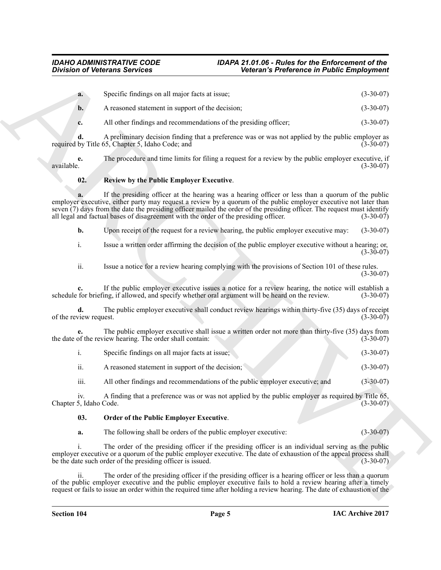# <span id="page-4-1"></span>*IDAHO ADMINISTRATIVE CODE IDAPA 21.01.06 - Rules for the Enforcement of the Division of Veterans Services Veteran's Preference in Public Employment*

|                               | <b>Division of Veterans Services</b>                                                              | Veteran's Preference in Public Employment                                                                                                                                                                                                                                                                                                               |             |
|-------------------------------|---------------------------------------------------------------------------------------------------|---------------------------------------------------------------------------------------------------------------------------------------------------------------------------------------------------------------------------------------------------------------------------------------------------------------------------------------------------------|-------------|
| a.                            | Specific findings on all major facts at issue;                                                    |                                                                                                                                                                                                                                                                                                                                                         | $(3-30-07)$ |
| b.                            | A reasoned statement in support of the decision;                                                  |                                                                                                                                                                                                                                                                                                                                                         | $(3-30-07)$ |
| c.                            | All other findings and recommendations of the presiding officer;                                  |                                                                                                                                                                                                                                                                                                                                                         | $(3-30-07)$ |
| d.                            | required by Title 65, Chapter 5, Idaho Code; and                                                  | A preliminary decision finding that a preference was or was not applied by the public employer as                                                                                                                                                                                                                                                       | $(3-30-07)$ |
| e.<br>available.              |                                                                                                   | The procedure and time limits for filing a request for a review by the public employer executive, if                                                                                                                                                                                                                                                    | $(3-30-07)$ |
| 02.                           | Review by the Public Employer Executive.                                                          |                                                                                                                                                                                                                                                                                                                                                         |             |
|                               | all legal and factual bases of disagreement with the order of the presiding officer.              | If the presiding officer at the hearing was a hearing officer or less than a quorum of the public<br>employer executive, either party may request a review by a quorum of the public employer executive not later than<br>seven (7) days from the date the presiding officer mailed the order of the presiding officer. The request must identify       | $(3-30-07)$ |
| b.                            |                                                                                                   | Upon receipt of the request for a review hearing, the public employer executive may:                                                                                                                                                                                                                                                                    | $(3-30-07)$ |
| i.                            |                                                                                                   | Issue a written order affirming the decision of the public employer executive without a hearing; or,                                                                                                                                                                                                                                                    | $(3-30-07)$ |
| ii.                           |                                                                                                   | Issue a notice for a review hearing complying with the provisions of Section 101 of these rules.                                                                                                                                                                                                                                                        | $(3-30-07)$ |
|                               | schedule for briefing, if allowed, and specify whether oral argument will be heard on the review. | If the public employer executive issues a notice for a review hearing, the notice will establish a                                                                                                                                                                                                                                                      | $(3-30-07)$ |
| d.<br>of the review request.  |                                                                                                   | The public employer executive shall conduct review hearings within thirty-five (35) days of receipt                                                                                                                                                                                                                                                     | $(3-30-07)$ |
|                               | the date of the review hearing. The order shall contain:                                          | The public employer executive shall issue a written order not more than thirty-five (35) days from                                                                                                                                                                                                                                                      | $(3-30-07)$ |
| i.                            | Specific findings on all major facts at issue;                                                    |                                                                                                                                                                                                                                                                                                                                                         | $(3-30-07)$ |
| ii.                           | A reasoned statement in support of the decision;                                                  |                                                                                                                                                                                                                                                                                                                                                         | $(3-30-07)$ |
| iii.                          | All other findings and recommendations of the public employer executive; and                      |                                                                                                                                                                                                                                                                                                                                                         | $(3-30-07)$ |
| iv.<br>Chapter 5, Idaho Code. |                                                                                                   | A finding that a preference was or was not applied by the public employer as required by Title 65,                                                                                                                                                                                                                                                      | $(3-30-07)$ |
| 03.                           | Order of the Public Employer Executive.                                                           |                                                                                                                                                                                                                                                                                                                                                         |             |
| a.                            | The following shall be orders of the public employer executive:                                   |                                                                                                                                                                                                                                                                                                                                                         | $(3-30-07)$ |
| 1.                            | be the date such order of the presiding officer is issued.                                        | The order of the presiding officer if the presiding officer is an individual serving as the public<br>employer executive or a quorum of the public employer executive. The date of exhaustion of the appeal process shall                                                                                                                               | $(3-30-07)$ |
| $\overline{\mathbf{11}}$ .    |                                                                                                   | The order of the presiding officer if the presiding officer is a hearing officer or less than a quorum<br>of the public employer executive and the public employer executive fails to hold a review hearing after a timely<br>request or fails to issue an order within the required time after holding a review hearing. The date of exhaustion of the |             |

|                      | Specific findings on all major facts at issue;   |  | $(3-30-07)$ |
|----------------------|--------------------------------------------------|--|-------------|
| $\ddot{\phantom{0}}$ | A reasoned statement in support of the decision; |  | $(3-30-07)$ |

# <span id="page-4-0"></span>**03. Order of the Public Employer Executive**.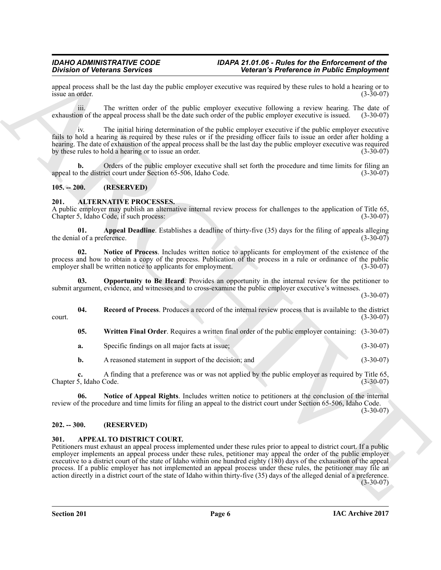appeal process shall be the last day the public employer executive was required by these rules to hold a hearing or to issue an order. (3-30-07) issue an order. (3-30-07)

iii. The written order of the public employer executive following a review hearing. The date of exhaustion of the appeal process shall be the date such order of the public employer executive is issued. (3-30-07)

iv. The initial hiring determination of the public employer executive if the public employer executive fails to hold a hearing as required by these rules or if the presiding officer fails to issue an order after holding a hearing. The date of exhaustion of the appeal process shall be the last day the public employer executive was required by these rules to hold a hearing or to issue an order. (3-30-07)

**b.** Orders of the public employer executive shall set forth the procedure and time limits for filing an the district court under Section 65-506, Idaho Code. (3-30-07) appeal to the district court under Section 65-506, Idaho Code.

# <span id="page-5-4"></span><span id="page-5-0"></span>**105. -- 200. (RESERVED)**

# <span id="page-5-1"></span>**201. ALTERNATIVE PROCESSES.**

A public employer may publish an alternative internal review process for challenges to the application of Title 65, Chapter 5, Idaho Code, if such process: (3-30-07)

<span id="page-5-5"></span>**01. Appeal Deadline**. Establishes a deadline of thirty-five (35) days for the filing of appeals alleging d of a preference. the denial of a preference.

<span id="page-5-7"></span>**02. Notice of Process**. Includes written notice to applicants for employment of the existence of the process and how to obtain a copy of the process. Publication of the process in a rule or ordinance of the public<br>employer shall be written notice to applicants for employment. (3-30-07) employer shall be written notice to applicants for employment.

<span id="page-5-8"></span>**03. Opportunity to Be Heard**. Provides an opportunity in the internal review for the petitioner to submit argument, evidence, and witnesses and to cross-examine the public employer executive's witnesses.

(3-30-07)

**04.** Record of Process. Produces a record of the internal review process that is available to the district (3-30-07) court. (3-30-07)

<span id="page-5-10"></span><span id="page-5-9"></span>**05. Written Final Order**. Requires a written final order of the public employer containing: (3-30-07)

**a.** Specific findings on all major facts at issue; (3-30-07)

<span id="page-5-6"></span>**b.** A reasoned statement in support of the decision; and (3-30-07)

**c.** A finding that a preference was or was not applied by the public employer as required by Title 65, Idaho Code. (3-30-07) Chapter 5, Idaho Code.

**06. Notice of Appeal Rights**. Includes written notice to petitioners at the conclusion of the internal review of the procedure and time limits for filing an appeal to the district court under Section 65-506, Idaho Code.  $(3-30-07)$ 

## <span id="page-5-2"></span>**202. -- 300. (RESERVED)**

# <span id="page-5-11"></span><span id="page-5-3"></span>**301. APPEAL TO DISTRICT COURT.**

Division of Detectors Services<br>
Universal to the latter state engine excession in constraint the main state of the state engine of the state of the state of the state of the state of the state of the state of the state of Petitioners must exhaust an appeal process implemented under these rules prior to appeal to district court. If a public employer implements an appeal process under these rules, petitioner may appeal the order of the public employer executive to a district court of the state of Idaho within one hundred eighty (180) days of the exhaustion of the appeal process. If a public employer has not implemented an appeal process under these rules, the petitioner may file an action directly in a district court of the state of Idaho within thirty-five (35) days of the alleged denial of a preference. (3-30-07)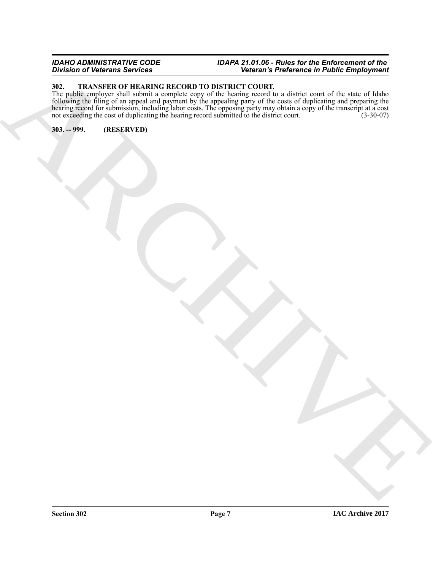# *IDAHO ADMINISTRATIVE CODE IDAPA 21.01.06 - Rules for the Enforcement of the Division of Veterans Services Veteran's Preference in Public Employment*

# <span id="page-6-2"></span><span id="page-6-0"></span>**302. TRANSFER OF HEARING RECORD TO DISTRICT COURT.**

ARCHIVE The public employer shall submit a complete copy of the hearing record to a district court of the state of Idaho following the filing of an appeal and payment by the appealing party of the costs of duplicating and preparing the hearing record for submission, including labor costs. The opposing party may obtain a copy of the transcript at a cost not exceeding the cost of duplicating the hearing record submitted to the district court. (3-30-07)

<span id="page-6-1"></span>**303. -- 999. (RESERVED)**